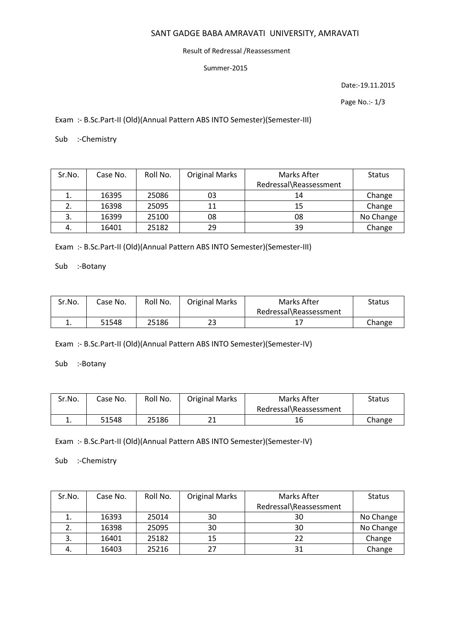# SANT GADGE BABA AMRAVATI UNIVERSITY, AMRAVATI

### Result of Redressal /Reassessment

#### Summer-2015

Date:-19.11.2015

Page No.:- 1/3

Exam :- B.Sc.Part-II (Old)(Annual Pattern ABS INTO Semester)(Semester-III)

Sub :-Chemistry

| Sr.No. | Case No. | Roll No. | <b>Original Marks</b> | Marks After            | <b>Status</b> |
|--------|----------|----------|-----------------------|------------------------|---------------|
|        |          |          |                       | Redressal\Reassessment |               |
|        | 16395    | 25086    | 03                    | 14                     | Change        |
|        | 16398    | 25095    | 11                    | 15                     | Change        |
| 3.     | 16399    | 25100    | 08                    | 08                     | No Change     |
| 4.     | 16401    | 25182    | 29                    | 39                     | Change        |

Exam :- B.Sc.Part-II (Old)(Annual Pattern ABS INTO Semester)(Semester-III)

Sub :-Botany

| Sr.No. | Case No. | Roll No. | <b>Original Marks</b> | Marks After            | Status |
|--------|----------|----------|-----------------------|------------------------|--------|
|        |          |          |                       | Redressal\Reassessment |        |
| ∸.     | 51548    | 25186    | 23                    |                        | Change |

Exam :- B.Sc.Part-II (Old)(Annual Pattern ABS INTO Semester)(Semester-IV)

Sub :-Botany

| Sr.No. | Case No. | Roll No. | <b>Original Marks</b> | Marks After            | Status |
|--------|----------|----------|-----------------------|------------------------|--------|
|        |          |          |                       | Redressal\Reassessment |        |
|        | 51548    | 25186    | ᅀᅩ                    | 16                     | Change |

Exam :- B.Sc.Part-II (Old)(Annual Pattern ABS INTO Semester)(Semester-IV)

Sub :-Chemistry

| Sr.No. | Case No. | Roll No. | <b>Original Marks</b> | Marks After            | <b>Status</b> |
|--------|----------|----------|-----------------------|------------------------|---------------|
|        |          |          |                       | Redressal\Reassessment |               |
|        | 16393    | 25014    | 30                    | 30                     | No Change     |
|        | 16398    | 25095    | 30                    | 30                     | No Change     |
| 3.     | 16401    | 25182    | 15                    | 22                     | Change        |
| 4.     | 16403    | 25216    | 27                    | 31                     | Change        |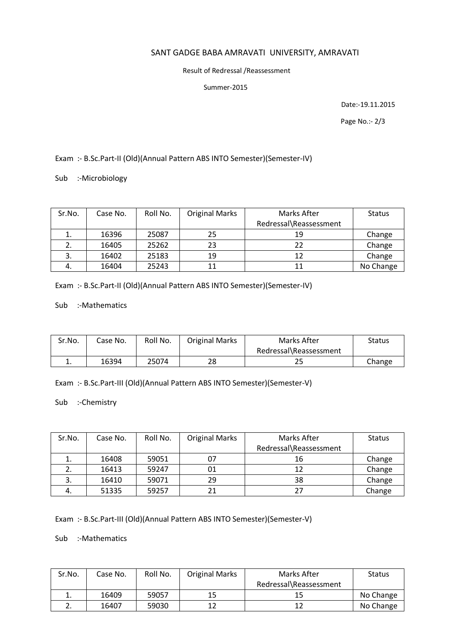# SANT GADGE BABA AMRAVATI UNIVERSITY, AMRAVATI

### Result of Redressal /Reassessment

#### Summer-2015

Date:-19.11.2015

Page No.:- 2/3

# Exam :- B.Sc.Part-II (Old)(Annual Pattern ABS INTO Semester)(Semester-IV)

Sub :-Microbiology

| Sr.No. | Case No. | Roll No. | <b>Original Marks</b> | Marks After            | <b>Status</b> |
|--------|----------|----------|-----------------------|------------------------|---------------|
|        |          |          |                       | Redressal\Reassessment |               |
|        | 16396    | 25087    | 25                    | 19                     | Change        |
|        | 16405    | 25262    | 23                    | 22                     | Change        |
| 3.     | 16402    | 25183    | 19                    | 12                     | Change        |
| 4.     | 16404    | 25243    | 11                    | 11                     | No Change     |

Exam :- B.Sc.Part-II (Old)(Annual Pattern ABS INTO Semester)(Semester-IV)

Sub :-Mathematics

| Sr.No. | Case No. | Roll No. | <b>Original Marks</b> | Marks After            | Status |
|--------|----------|----------|-----------------------|------------------------|--------|
|        |          |          |                       | Redressal\Reassessment |        |
| ᅩ.     | 16394    | 25074    | 28                    | 25                     | Change |

Exam :- B.Sc.Part-III (Old)(Annual Pattern ABS INTO Semester)(Semester-V)

Sub :-Chemistry

| Sr.No. | Case No. | Roll No. | <b>Original Marks</b> | Marks After            | <b>Status</b> |
|--------|----------|----------|-----------------------|------------------------|---------------|
|        |          |          |                       | Redressal\Reassessment |               |
|        | 16408    | 59051    | 07                    | 16                     | Change        |
|        | 16413    | 59247    | 01                    | 12                     | Change        |
| 3.     | 16410    | 59071    | 29                    | 38                     | Change        |
| 4.     | 51335    | 59257    | 21                    | 27                     | Change        |

Exam :- B.Sc.Part-III (Old)(Annual Pattern ABS INTO Semester)(Semester-V)

Sub :-Mathematics

| Sr.No. | Case No. | Roll No. | <b>Original Marks</b> | Marks After            | <b>Status</b> |
|--------|----------|----------|-----------------------|------------------------|---------------|
|        |          |          |                       | Redressal\Reassessment |               |
|        | 16409    | 59057    | 15                    |                        | No Change     |
|        | 16407    | 59030    |                       |                        | No Change     |